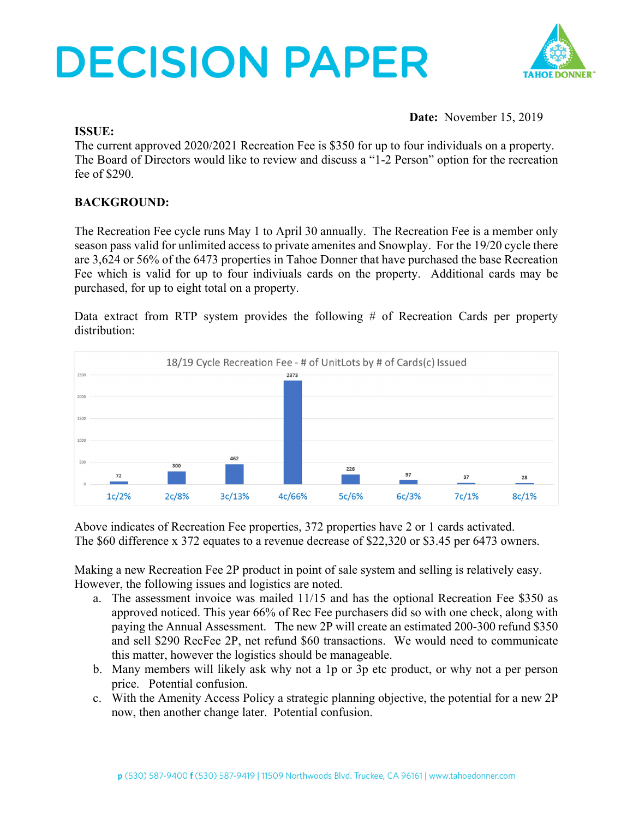# **DECISION PAPER**



**Date:** November 15, 2019

#### **ISSUE:**

The current approved 2020/2021 Recreation Fee is \$350 for up to four individuals on a property. The Board of Directors would like to review and discuss a "1-2 Person" option for the recreation fee of \$290.

### **BACKGROUND:**

The Recreation Fee cycle runs May 1 to April 30 annually. The Recreation Fee is a member only season pass valid for unlimited access to private amenites and Snowplay. For the 19/20 cycle there are 3,624 or 56% of the 6473 properties in Tahoe Donner that have purchased the base Recreation Fee which is valid for up to four indiviuals cards on the property. Additional cards may be purchased, for up to eight total on a property.

Data extract from RTP system provides the following # of Recreation Cards per property distribution:



Above indicates of Recreation Fee properties, 372 properties have 2 or 1 cards activated. The \$60 difference x 372 equates to a revenue decrease of \$22,320 or \$3.45 per 6473 owners.

Making a new Recreation Fee 2P product in point of sale system and selling is relatively easy. However, the following issues and logistics are noted.

- a. The assessment invoice was mailed 11/15 and has the optional Recreation Fee \$350 as approved noticed. This year 66% of Rec Fee purchasers did so with one check, along with paying the Annual Assessment. The new 2P will create an estimated 200-300 refund \$350 and sell \$290 RecFee 2P, net refund \$60 transactions. We would need to communicate this matter, however the logistics should be manageable.
- b. Many members will likely ask why not a 1p or 3p etc product, or why not a per person price. Potential confusion.
- c. With the Amenity Access Policy a strategic planning objective, the potential for a new 2P now, then another change later. Potential confusion.